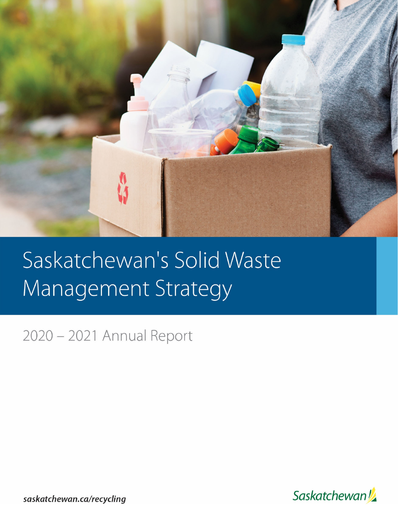

# Saskatchewan's Solid Waste Management Strategy

2020 - 2021 Annual Report



saskatchewan.ca/recycling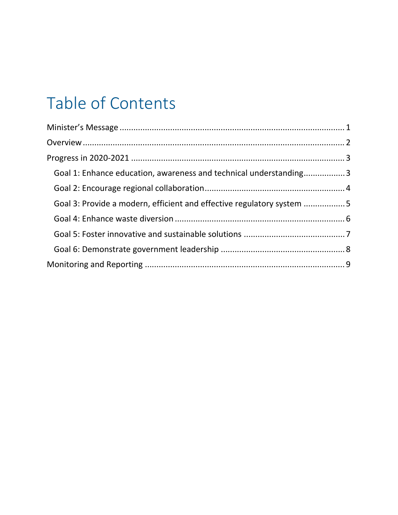# Table of Contents

| Goal 1: Enhance education, awareness and technical understanding3     |  |
|-----------------------------------------------------------------------|--|
|                                                                       |  |
| Goal 3: Provide a modern, efficient and effective regulatory system 5 |  |
|                                                                       |  |
|                                                                       |  |
|                                                                       |  |
|                                                                       |  |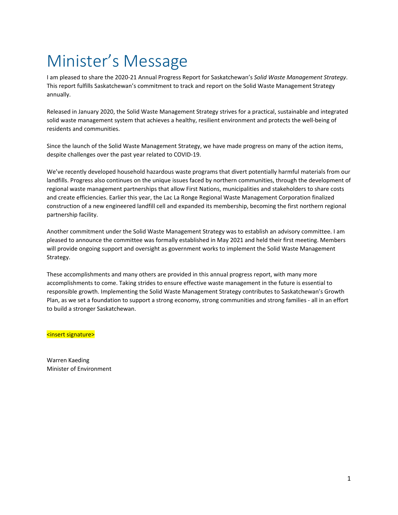# Minister's Message

I am pleased to share the 2020‐21 Annual Progress Report for Saskatchewan's *Solid Waste Management Strategy*. This report fulfills Saskatchewan's commitment to track and report on the Solid Waste Management Strategy annually.

Released in January 2020, the Solid Waste Management Strategy strives for a practical, sustainable and integrated solid waste management system that achieves a healthy, resilient environment and protects the well-being of residents and communities.

Since the launch of the Solid Waste Management Strategy, we have made progress on many of the action items, despite challenges over the past year related to COVID‐19.

We've recently developed household hazardous waste programs that divert potentially harmful materials from our landfills. Progress also continues on the unique issues faced by northern communities, through the development of regional waste management partnerships that allow First Nations, municipalities and stakeholders to share costs and create efficiencies. Earlier this year, the Lac La Ronge Regional Waste Management Corporation finalized construction of a new engineered landfill cell and expanded its membership, becoming the first northern regional partnership facility.

Another commitment under the Solid Waste Management Strategy was to establish an advisory committee. I am pleased to announce the committee was formally established in May 2021 and held their first meeting. Members will provide ongoing support and oversight as government works to implement the Solid Waste Management Strategy.

These accomplishments and many others are provided in this annual progress report, with many more accomplishments to come. Taking strides to ensure effective waste management in the future is essential to responsible growth. Implementing the Solid Waste Management Strategy contributes to Saskatchewan's Growth Plan, as we set a foundation to support a strong economy, strong communities and strong families ‐ all in an effort to build a stronger Saskatchewan.

<insert signature>

Warren Kaeding Minister of Environment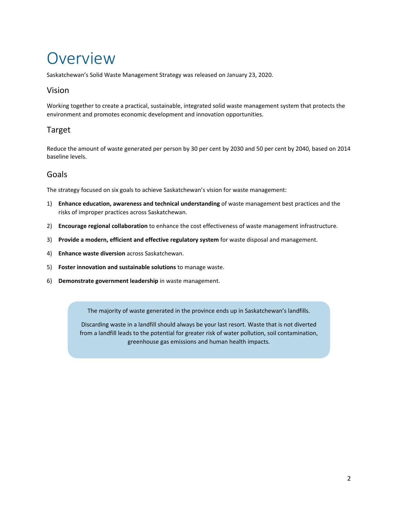# Overview

Saskatchewan's Solid Waste Management Strategy was released on January 23, 2020.

### Vision

Working together to create a practical, sustainable, integrated solid waste management system that protects the environment and promotes economic development and innovation opportunities.

## Target

Reduce the amount of waste generated per person by 30 per cent by 2030 and 50 per cent by 2040, based on 2014 baseline levels.

## Goals

The strategy focused on six goals to achieve Saskatchewan's vision for waste management:

- 1) **Enhance education, awareness and technical understanding** of waste management best practices and the risks of improper practices across Saskatchewan.
- 2) **Encourage regional collaboration** to enhance the cost effectiveness of waste management infrastructure.
- 3) **Provide a modern, efficient and effective regulatory system** for waste disposal and management.
- 4) **Enhance waste diversion** across Saskatchewan.

<u> 1986 - Andrea State Barbara, a</u>

- 5) **Foster innovation and sustainable solutions** to manage waste.
- 6) **Demonstrate government leadership** in waste management.

The majority of waste generated in the province ends up in Saskatchewan's landfills.

Discarding waste in a landfill should always be your last resort. Waste that is not diverted from a landfill leads to the potential for greater risk of water pollution, soil contamination, greenhouse gas emissions and human health impacts.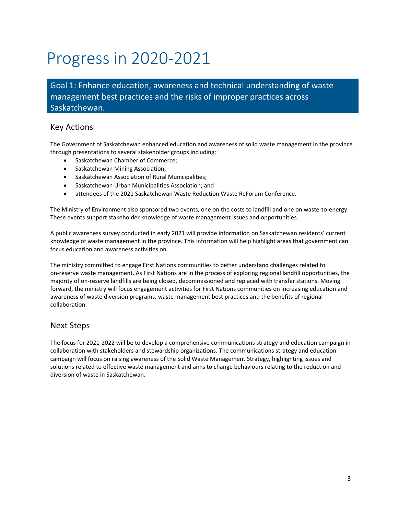# Progress in 2020‐2021

Goal 1: Enhance education, awareness and technical understanding of waste management best practices and the risks of improper practices across Saskatchewan.

#### Key Actions

The Government of Saskatchewan enhanced education and awareness of solid waste management in the province through presentations to several stakeholder groups including:

- Saskatchewan Chamber of Commerce;
- Saskatchewan Mining Association;
- Saskatchewan Association of Rural Municipalities;
- Saskatchewan Urban Municipalities Association; and
- attendees of the 2021 Saskatchewan Waste Reduction Waste ReForum Conference.

The Ministry of Environment also sponsored two events, one on the costs to landfill and one on waste‐to‐energy. These events support stakeholder knowledge of waste management issues and opportunities.

A public awareness survey conducted in early 2021 will provide information on Saskatchewan residents' current knowledge of waste management in the province. This information will help highlight areas that government can focus education and awareness activities on.

The ministry committed to engage First Nations communities to better understand challenges related to on-reserve waste management. As First Nations are in the process of exploring regional landfill opportunities, the majority of on‐reserve landfills are being closed, decommissioned and replaced with transfer stations. Moving forward, the ministry will focus engagement activities for First Nations communities on increasing education and awareness of waste diversion programs, waste management best practices and the benefits of regional collaboration.

#### Next Steps

The focus for 2021‐2022 will be to develop a comprehensive communications strategy and education campaign in collaboration with stakeholders and stewardship organizations. The communications strategy and education campaign will focus on raising awareness of the Solid Waste Management Strategy, highlighting issues and solutions related to effective waste management and aims to change behaviours relating to the reduction and diversion of waste in Saskatchewan.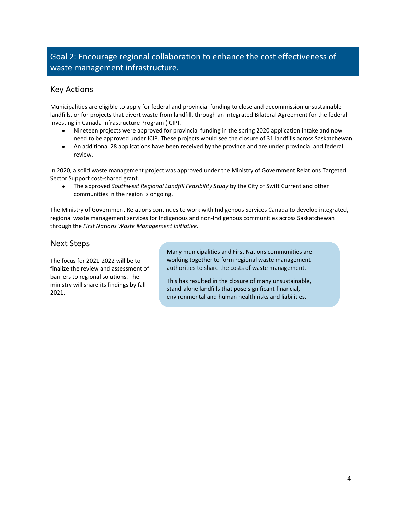## Goal 2: Encourage regional collaboration to enhance the cost effectiveness of waste management infrastructure.

#### Key Actions

Municipalities are eligible to apply for federal and provincial funding to close and decommission unsustainable landfills, or for projects that divert waste from landfill, through an Integrated Bilateral Agreement for the federal Investing in Canada Infrastructure Program (ICIP).

- Nineteen projects were approved for provincial funding in the spring 2020 application intake and now need to be approved under ICIP. These projects would see the closure of 31 landfills across Saskatchewan.
- An additional 28 applications have been received by the province and are under provincial and federal review.

In 2020, a solid waste management project was approved under the Ministry of Government Relations Targeted Sector Support cost‐shared grant.

 The approved *Southwest Regional Landfill Feasibility Study* by the City of Swift Current and other communities in the region is ongoing.

The Ministry of Government Relations continues to work with Indigenous Services Canada to develop integrated, regional waste management services for Indigenous and non‐Indigenous communities across Saskatchewan through the *First Nations Waste Management Initiative*.

#### Next Steps

The focus for 2021‐2022 will be to finalize the review and assessment of barriers to regional solutions. The ministry will share its findings by fall 2021.

Many municipalities and First Nations communities are working together to form regional waste management authorities to share the costs of waste management.

This has resulted in the closure of many unsustainable, stand‐alone landfills that pose significant financial, environmental and human health risks and liabilities.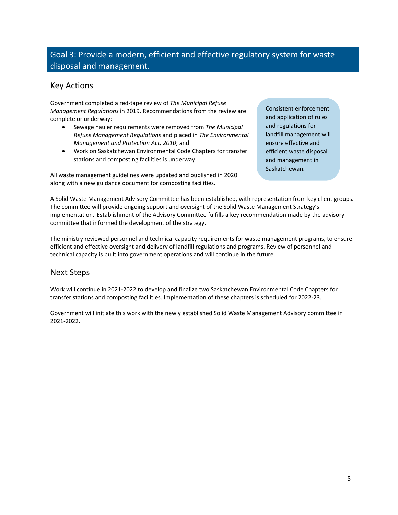## Goal 3: Provide a modern, efficient and effective regulatory system for waste disposal and management.

#### Key Actions

Government completed a red‐tape review of *The Municipal Refuse Management Regulations* in 2019. Recommendations from the review are complete or underway:

- Sewage hauler requirements were removed from *The Municipal Refuse Management Regulations* and placed in *The Environmental Management and Protection Act, 2010*; and
- Work on Saskatchewan Environmental Code Chapters for transfer stations and composting facilities is underway.

All waste management guidelines were updated and published in 2020 along with a new guidance document for composting facilities.

Consistent enforcement and application of rules and regulations for landfill management will ensure effective and efficient waste disposal and management in Saskatchewan.

A Solid Waste Management Advisory Committee has been established, with representation from key client groups. The committee will provide ongoing support and oversight of the Solid Waste Management Strategy's implementation. Establishment of the Advisory Committee fulfills a key recommendation made by the advisory committee that informed the development of the strategy.

The ministry reviewed personnel and technical capacity requirements for waste management programs, to ensure efficient and effective oversight and delivery of landfill regulations and programs. Review of personnel and technical capacity is built into government operations and will continue in the future.

#### Next Steps

Work will continue in 2021‐2022 to develop and finalize two Saskatchewan Environmental Code Chapters for transfer stations and composting facilities. Implementation of these chapters is scheduled for 2022‐23.

Government will initiate this work with the newly established Solid Waste Management Advisory committee in 2021‐2022.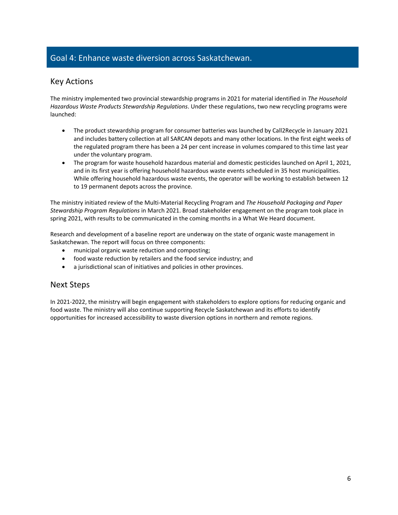### Goal 4: Enhance waste diversion across Saskatchewan.

#### Key Actions

The ministry implemented two provincial stewardship programs in 2021 for material identified in *The Household Hazardous Waste Products Stewardship Regulations*. Under these regulations, two new recycling programs were launched:

- The product stewardship program for consumer batteries was launched by Call2Recycle in January 2021 and includes battery collection at all SARCAN depots and many other locations. In the first eight weeks of the regulated program there has been a 24 per cent increase in volumes compared to this time last year under the voluntary program.
- The program for waste household hazardous material and domestic pesticides launched on April 1, 2021, and in its first year is offering household hazardous waste events scheduled in 35 host municipalities. While offering household hazardous waste events, the operator will be working to establish between 12 to 19 permanent depots across the province.

The ministry initiated review of the Multi‐Material Recycling Program and *The Household Packaging and Paper Stewardship Program Regulations* in March 2021. Broad stakeholder engagement on the program took place in spring 2021, with results to be communicated in the coming months in a What We Heard document.

Research and development of a baseline report are underway on the state of organic waste management in Saskatchewan. The report will focus on three components:

- municipal organic waste reduction and composting;
- food waste reduction by retailers and the food service industry; and
- a jurisdictional scan of initiatives and policies in other provinces.

#### Next Steps

In 2021-2022, the ministry will begin engagement with stakeholders to explore options for reducing organic and food waste. The ministry will also continue supporting Recycle Saskatchewan and its efforts to identify opportunities for increased accessibility to waste diversion options in northern and remote regions.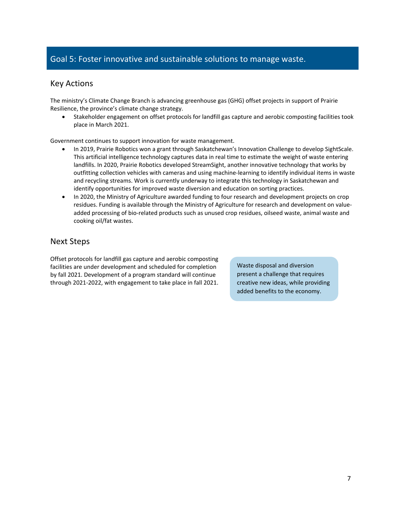#### Goal 5: Foster innovative and sustainable solutions to manage waste.

#### Key Actions

The ministry's Climate Change Branch is advancing greenhouse gas (GHG) offset projects in support of Prairie Resilience, the province's climate change strategy.

 Stakeholder engagement on offset protocols for landfill gas capture and aerobic composting facilities took place in March 2021.

Government continues to support innovation for waste management.

- In 2019, Prairie Robotics won a grant through Saskatchewan's Innovation Challenge to develop SightScale. This artificial intelligence technology captures data in real time to estimate the weight of waste entering landfills. In 2020, Prairie Robotics developed StreamSight, another innovative technology that works by outfitting collection vehicles with cameras and using machine‐learning to identify individual items in waste and recycling streams. Work is currently underway to integrate this technology in Saskatchewan and identify opportunities for improved waste diversion and education on sorting practices.
- In 2020, the Ministry of Agriculture awarded funding to four research and development projects on crop residues. Funding is available through the Ministry of Agriculture for research and development on value‐ added processing of bio‐related products such as unused crop residues, oilseed waste, animal waste and cooking oil/fat wastes.

#### Next Steps

Offset protocols for landfill gas capture and aerobic composting facilities are under development and scheduled for completion by fall 2021. Development of a program standard will continue through 2021‐2022, with engagement to take place in fall 2021.

Waste disposal and diversion present a challenge that requires creative new ideas, while providing added benefits to the economy.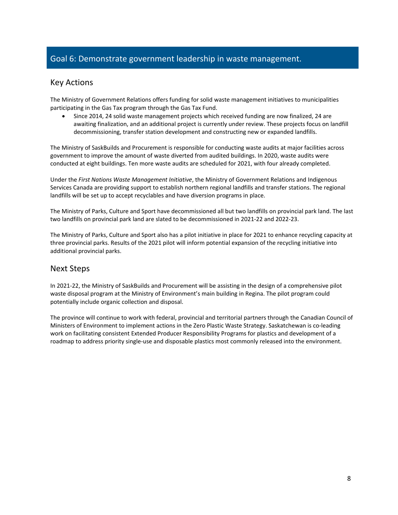#### Goal 6: Demonstrate government leadership in waste management.

#### Key Actions

The Ministry of Government Relations offers funding for solid waste management initiatives to municipalities participating in the Gas Tax program through the Gas Tax Fund.

 Since 2014, 24 solid waste management projects which received funding are now finalized, 24 are awaiting finalization, and an additional project is currently under review. These projects focus on landfill decommissioning, transfer station development and constructing new or expanded landfills.

The Ministry of SaskBuilds and Procurement is responsible for conducting waste audits at major facilities across government to improve the amount of waste diverted from audited buildings. In 2020, waste audits were conducted at eight buildings. Ten more waste audits are scheduled for 2021, with four already completed.

Under the *First Nations Waste Management Initiative*, the Ministry of Government Relations and Indigenous Services Canada are providing support to establish northern regional landfills and transfer stations. The regional landfills will be set up to accept recyclables and have diversion programs in place.

The Ministry of Parks, Culture and Sport have decommissioned all but two landfills on provincial park land. The last two landfills on provincial park land are slated to be decommissioned in 2021‐22 and 2022‐23.

The Ministry of Parks, Culture and Sport also has a pilot initiative in place for 2021 to enhance recycling capacity at three provincial parks. Results of the 2021 pilot will inform potential expansion of the recycling initiative into additional provincial parks.

#### Next Steps

In 2021-22, the Ministry of SaskBuilds and Procurement will be assisting in the design of a comprehensive pilot waste disposal program at the Ministry of Environment's main building in Regina. The pilot program could potentially include organic collection and disposal.

The province will continue to work with federal, provincial and territorial partners through the Canadian Council of Ministers of Environment to implement actions in the Zero Plastic Waste Strategy. Saskatchewan is co‐leading work on facilitating consistent Extended Producer Responsibility Programs for plastics and development of a roadmap to address priority single‐use and disposable plastics most commonly released into the environment.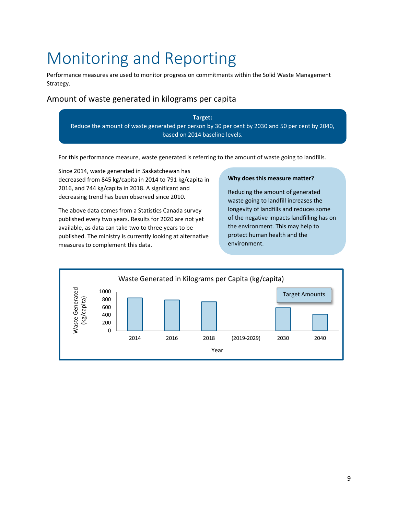# Monitoring and Reporting

Performance measures are used to monitor progress on commitments within the Solid Waste Management Strategy.

### Amount of waste generated in kilograms per capita

**Target:** Reduce the amount of waste generated per person by 30 per cent by 2030 and 50 per cent by 2040, based on 2014 baseline levels.

For this performance measure, waste generated is referring to the amount of waste going to landfills.

Since 2014, waste generated in Saskatchewan has decreased from 845 kg/capita in 2014 to 791 kg/capita in 2016, and 744 kg/capita in 2018. A significant and decreasing trend has been observed since 2010.

The above data comes from a Statistics Canada survey published every two years. Results for 2020 are not yet available, as data can take two to three years to be published. The ministry is currently looking at alternative measures to complement this data.

#### **Why does this measure matter?**

Reducing the amount of generated waste going to landfill increases the longevity of landfills and reduces some of the negative impacts landfilling has on the environment. This may help to protect human health and the environment.

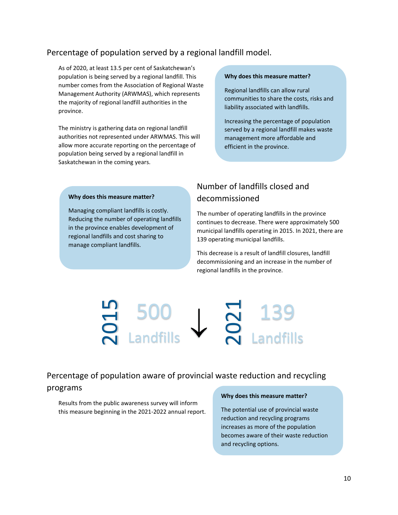#### Percentage of population served by a regional landfill model.

As of 2020, at least 13.5 per cent of Saskatchewan's population is being served by a regional landfill. This number comes from the Association of Regional Waste Management Authority (ARWMAS), which represents the majority of regional landfill authorities in the province.

The ministry is gathering data on regional landfill authorities not represented under ARWMAS. This will allow more accurate reporting on the percentage of population being served by a regional landfill in Saskatchewan in the coming years.

#### **Why does this measure matter?**

Regional landfills can allow rural communities to share the costs, risks and liability associated with landfills.

Increasing the percentage of population served by a regional landfill makes waste management more affordable and efficient in the province.

#### **Why does this measure matter?**

Managing compliant landfills is costly. Reducing the number of operating landfills in the province enables development of regional landfills and cost sharing to manage compliant landfills.

## Number of landfills closed and decommissioned

The number of operating landfills in the province continues to decrease. There were approximately 500 municipal landfills operating in 2015. In 2021, there are 139 operating municipal landfills.

This decrease is a result of landfill closures, landfill decommissioning and an increase in the number of regional landfills in the province.

# **the Concept of SOO**<br> **this measure of population aware of provincia**<br>
Results from the public awareness survey will inform<br>
this measure beginning in the 2021-2022 annual report. DUU<br>Landfills  $\sum_{\mathsf{A}}^{7}$  139

Percentage of population aware of provincial waste reduction and recycling programs

Results from the public awareness survey will inform

#### **Why does this measure matter?**

The potential use of provincial waste reduction and recycling programs increases as more of the population becomes aware of their waste reduction and recycling options.